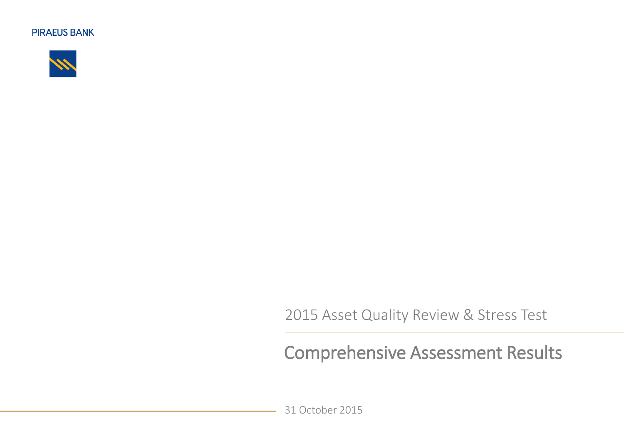

2015 Asset Quality Review & Stress Test

## Comprehensive Assessment Results

31 October 2015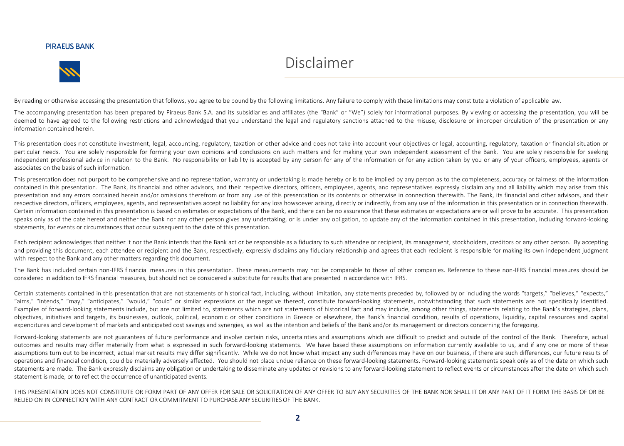

## Disclaimer

By reading or otherwise accessing the presentation that follows, you agree to be bound by the following limitations. Any failure to comply with these limitations may constitute a violation of applicable law.

The accompanying presentation has been prepared by Piraeus Bank S.A. and its subsidiaries and affiliates (the "Bank" or "We") solely for informational purposes. By viewing or accessing the presentation, you will be deemed to have agreed to the following restrictions and acknowledged that you understand the legal and regulatory sanctions attached to the misuse, disclosure or improper circulation of the presentation or any information contained herein.

This presentation does not constitute investment, legal, accounting, regulatory, taxation or other advice and does not take into account your objectives or legal, accounting, regulatory, taxation or financial situation or particular needs. You are solely responsible for forming your own opinions and conclusions on such matters and for making your own independent assessment of the Bank. You are solely responsible for seeking independent professional advice in relation to the Bank. No responsibility or liability is accepted by any person for any of the information or for any action taken by you or any of your officers, employees, agents or associates on the basis of such information.

This presentation does not purport to be comprehensive and no representation, warranty or undertaking is made hereby or is to be implied by any person as to the completeness, accuracy or fairness of the information contained in this presentation. The Bank, its financial and other advisors, and their respective directors, officers, employees, agents, and representatives expressly disclaim any and all liability which may arise from this presentation and any errors contained herein and/or omissions therefrom or from any use of this presentation or its contents or otherwise in connection therewith. The Bank, its financial and other advisors, and their respective directors, officers, employees, agents, and representatives accept no liability for any loss howsoever arising, directly or indirectly, from any use of the information in this presentation or in connection there Certain information contained in this presentation is based on estimates or expectations of the Bank, and there can be no assurance that these estimates or expectations are or will prove to be accurate. This presentation speaks only as of the date hereof and neither the Bank nor any other person gives any undertaking, or is under any obligation, to update any of the information contained in this presentation, including forward-looking statements, for events or circumstances that occur subsequent to the date of this presentation.

Each recipient acknowledges that neither it nor the Bank intends that the Bank act or be responsible as a fiduciary to such attendee or recipient, its management, stockholders, creditors or any other person. By accepting and providing this document, each attendee or recipient and the Bank, respectively, expressly disclaims any fiduciary relationship and agrees that each recipient is responsible for making its own independent judgment with respect to the Bank and any other matters regarding this document.

The Bank has included certain non-IFRS financial measures in this presentation. These measurements may not be comparable to those of other companies. Reference to these non-IFRS financial measures should be considered in addition to IFRS financial measures, but should not be considered a substitute for results that are presented in accordance with IFRS.

Certain statements contained in this presentation that are not statements of historical fact, including, without limitation, any statements preceded by, followed by or including the words "targets," "believes," "expects," "aims," "intends," "may," "anticipates," "would," "could" or similar expressions or the negative thereof, constitute forward-looking statements, notwithstanding that such statements are not specifically identified. Examples of forward-looking statements include, but are not limited to, statements which are not statements of historical fact and may include, among other things, statements relating to the Bank's strategies, plans, objectives, initiatives and targets, its businesses, outlook, political, economic or other conditions in Greece or elsewhere, the Bank's financial condition, results of operations, liquidity, capital resources and capital expenditures and development of markets and anticipated cost savings and synergies, as well as the intention and beliefs of the Bank and/or its management or directors concerning the foregoing.

Forward-looking statements are not guarantees of future performance and involve certain risks, uncertainties and assumptions which are difficult to predict and outside of the control of the Bank. Therefore, actual outcomes and results may differ materially from what is expressed in such forward-looking statements. We have based these assumptions on information currently available to us, and if any one or more of these assumptions turn out to be incorrect, actual market results may differ significantly. While we do not know what impact any such differences may have on our business, if there are such differences, our future results of operations and financial condition, could be materially adversely affected. You should not place undue reliance on these forward-looking statements. Forward-looking statements speak only as of the date on which such statements are made. The Bank expressly disclaims any obligation or undertaking to disseminate any updates or revisions to any forward-looking statement to reflect events or circumstances after the date on which such statement is made, or to reflect the occurrence of unanticipated events.

THIS PRESENTATION DOES NOT CONSTITUTE OR FORM PART OF ANY OFFER FOR SALE OR SOLICITATION OF ANY OFFER TO BUY ANY SECURITIES OF THE BANK NOR SHALL IT OR ANY PART OF IT FORM THE BASIS OF OR BE RELIED ON IN CONNECTION WITH ANY CONTRACT OR COMMITMENT TO PURCHASE ANY SECURITIESOF THE BANK.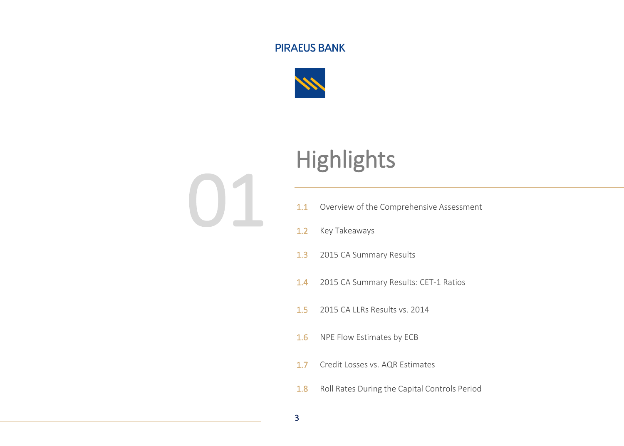

01

# **Highlights**

- 1.1 Overview of the Comprehensive Assessment
- 1.2 Key Takeaways
- 1.3 2015 CA Summary Results
- 1.4 2015 CA Summary Results: CET-1 Ratios
- 1.5 2015 CA LLRs Results vs. 2014
- 1.6 NPE Flow Estimates by ECB
- 1.7 Credit Losses vs. AQR Estimates
- 1.8 Roll Rates During the Capital Controls Period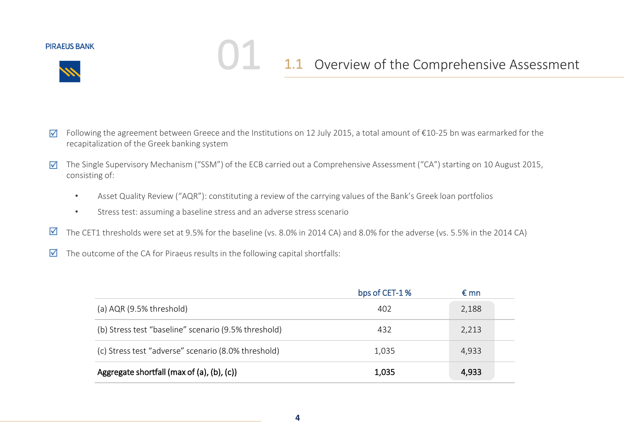

## 1.1 Overview of the Comprehensive Assessment

- Following the agreement between Greece and the Institutions on 12 July 2015, a total amount of €10-25 bn was earmarked for the recapitalization of the Greek banking system ☑
- The Single Supervisory Mechanism ("SSM") of the ECB carried out a Comprehensive Assessment ("CA") starting on 10 August 2015, consisting of: ☑
	- Asset Quality Review ("AQR"): constituting a review of the carrying values of the Bank's Greek loan portfolios
	- Stress test: assuming a baseline stress and an adverse stress scenario

- The CET1 thresholds were set at 9.5% for the baseline (vs. 8.0% in 2014 CA) and 8.0% for the adverse (vs. 5.5% in the 2014 CA)  $\blacktriangledown$
- The outcome of the CA for Piraeus results in the following capital shortfalls:  $\blacktriangledown$

|                                                      | bps of CET-1% | € mn  |
|------------------------------------------------------|---------------|-------|
| (a) $AQR$ (9.5% threshold)                           | 402           | 2,188 |
| (b) Stress test "baseline" scenario (9.5% threshold) | 432           | 2,213 |
| (c) Stress test "adverse" scenario (8.0% threshold)  | 1,035         | 4,933 |
| Aggregate shortfall (max of (a), (b), (c))           | 1,035         | 4,933 |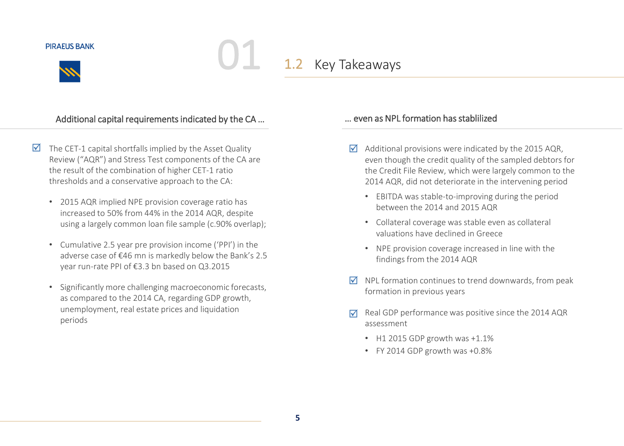

1.2 Key Takeaways

### Additional capital requirements indicated by the CA ... **Example 20 The COM** 2014 were as NPL formation has stablilized

- $\triangledown$  The CET-1 capital shortfalls implied by the Asset Quality Review ("AQR") and Stress Test components of the CA are the result of the combination of higher CET-1 ratio thresholds and a conservative approach to the CA:
	- 2015 AQR implied NPE provision coverage ratio has increased to 50% from 44% in the 2014 AQR, despite using a largely common loan file sample (c.90% overlap);
	- Cumulative 2.5 year pre provision income ('PPI') in the adverse case of €46 mn is markedly below the Bank's 2.5 year run-rate PPI of €3.3 bn based on Q3.2015
	- Significantly more challenging macroeconomic forecasts, as compared to the 2014 CA, regarding GDP growth, unemployment, real estate prices and liquidation periods

- $\triangledown$  Additional provisions were indicated by the 2015 AQR, even though the credit quality of the sampled debtors for the Credit File Review, which were largely common to the 2014 AQR, did not deteriorate in the intervening period
	- EBITDA was stable-to-improving during the period between the 2014 and 2015 AQR
	- Collateral coverage was stable even as collateral valuations have declined in Greece
	- NPE provision coverage increased in line with the findings from the 2014 AQR
- $\triangledown$  NPL formation continues to trend downwards, from peak formation in previous years
- Real GDP performance was positive since the 2014 AQR assessment  $\blacktriangledown$ 
	- H1 2015 GDP growth was +1.1%
	- FY 2014 GDP growth was +0.8%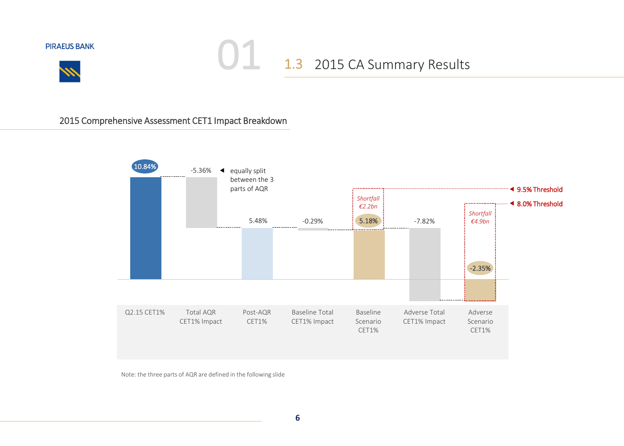



## 1.3 2015 CA Summary Results 01

### 2015 Comprehensive Assessment CET1 Impact Breakdown



Note: the three parts of AQR are defined in the following slide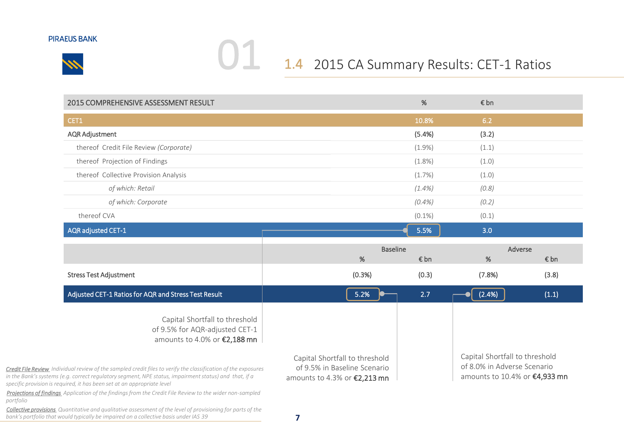

## 1.4 2015 CA Summary Results: CET-1 Ratios 01

| <b>2015 COMPREHENSIVE ASSESSMENT RESULT</b>                                                                                                                                                                                                                                                               |                                                                                                | %         | € bn                                                                                           |       |
|-----------------------------------------------------------------------------------------------------------------------------------------------------------------------------------------------------------------------------------------------------------------------------------------------------------|------------------------------------------------------------------------------------------------|-----------|------------------------------------------------------------------------------------------------|-------|
| CET1                                                                                                                                                                                                                                                                                                      |                                                                                                | 10.8%     | 6.2                                                                                            |       |
| <b>AQR Adjustment</b>                                                                                                                                                                                                                                                                                     |                                                                                                | (5.4%)    | (3.2)                                                                                          |       |
| thereof Credit File Review (Corporate)                                                                                                                                                                                                                                                                    |                                                                                                | $(1.9\%)$ | (1.1)                                                                                          |       |
| thereof Projection of Findings                                                                                                                                                                                                                                                                            |                                                                                                | $(1.8\%)$ | (1.0)                                                                                          |       |
| thereof Collective Provision Analysis                                                                                                                                                                                                                                                                     |                                                                                                | $(1.7\%)$ | (1.0)                                                                                          |       |
| of which: Retail                                                                                                                                                                                                                                                                                          |                                                                                                | $(1.4\%)$ | (0.8)                                                                                          |       |
| of which: Corporate                                                                                                                                                                                                                                                                                       |                                                                                                | $(0.4\%)$ | (0.2)                                                                                          |       |
| thereof CVA                                                                                                                                                                                                                                                                                               |                                                                                                | $(0.1\%)$ | (0.1)                                                                                          |       |
| AQR adjusted CET-1                                                                                                                                                                                                                                                                                        |                                                                                                | 5.5%      | 3.0                                                                                            |       |
|                                                                                                                                                                                                                                                                                                           | <b>Baseline</b>                                                                                |           | Adverse                                                                                        |       |
|                                                                                                                                                                                                                                                                                                           | %                                                                                              | € bn      | %                                                                                              | € bn  |
| <b>Stress Test Adjustment</b>                                                                                                                                                                                                                                                                             | (0.3%)                                                                                         | (0.3)     | (7.8%)                                                                                         | (3.8) |
| Adjusted CET-1 Ratios for AQR and Stress Test Result                                                                                                                                                                                                                                                      | 5.2%                                                                                           | 2.7       | (2.4%)                                                                                         | (1.1) |
| Capital Shortfall to threshold<br>of 9.5% for AQR-adjusted CET-1<br>amounts to 4.0% or €2,188 mn                                                                                                                                                                                                          |                                                                                                |           |                                                                                                |       |
| <b>Credit File Review</b> Individual review of the sampled credit files to verify the classification of the exposures<br>in the Bank's systems (e.g. correct regulatory segment, NPE status, impairment status) and that, if a<br>specific provision is required, it has been set at an appropriate level | Capital Shortfall to threshold<br>of 9.5% in Baseline Scenario<br>amounts to 4.3% or €2,213 mn |           | Capital Shortfall to threshold<br>of 8.0% in Adverse Scenario<br>amounts to 10.4% or €4,933 mn |       |

*Projections of findings Application of the findings from the Credit File Review to the wider non-sampled portfolio*

*Collective provisions Quantitative and qualitative assessment of the level of provisioning for parts of the bank's portfolio that would typically be impaired on a collective basis under IAS 39*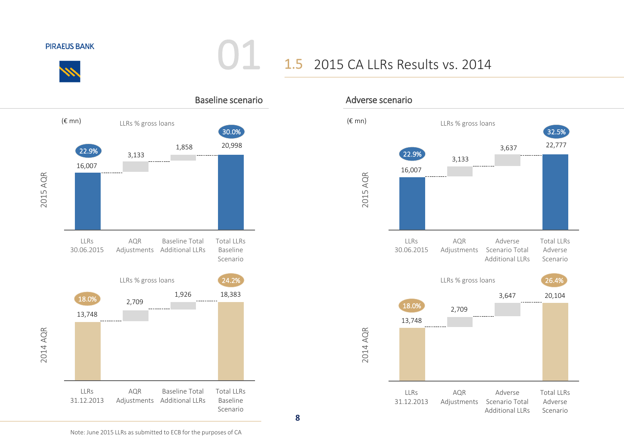

## 1.5 2015 CA LLRs Results vs. 2014



01

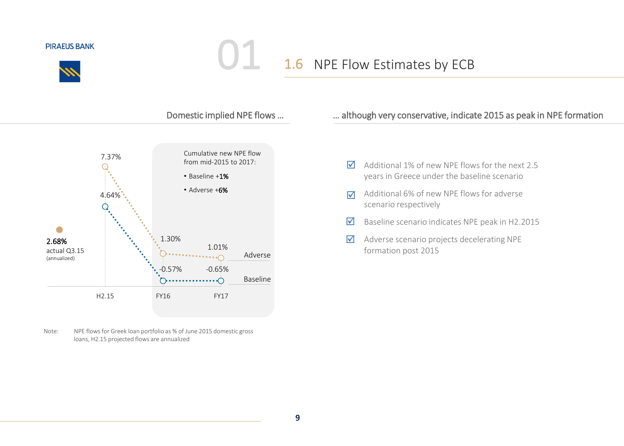

## 1.6 NPE Flow Estimates by ECB

01



Note: NPE flows for Greek loan portfolio as % of June 2015 domestic gross loans, H2.15 projected flows are annualized

### Domestic implied NPE flows ... **Example 18 manufature**, indicate 2015 as peak in NPE formation

- Additional 1% of new NPE flows for the next 2.5 years in Greece under the baseline scenario  $\triangledown$
- Additional 6% of new NPE flows for adverse scenario respectively  $\overline{\mathbf{M}}$
- Baseline scenario indicates NPE peak in H2.2015  $\blacktriangledown$
- Adverse scenario projects decelerating NPE formation post 2015  $\Delta$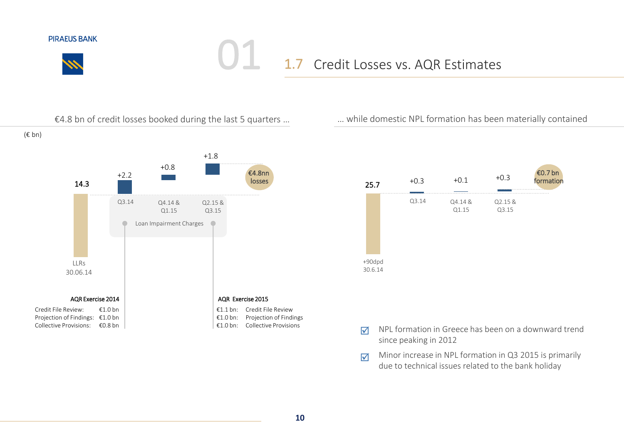

## 1.7 Credit Losses vs. AQR Estimates 01





- NPL formation in Greece has been on a downward trend since peaking in 2012  $\triangledown$
- Minor increase in NPL formation in Q3 2015 is primarily due to technical issues related to the bank holiday  $\triangledown$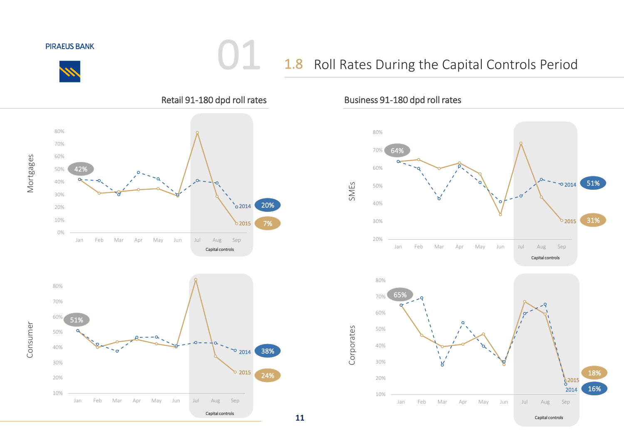

Consumer

## 1.8 Roll Rates During the Capital Controls Period



01



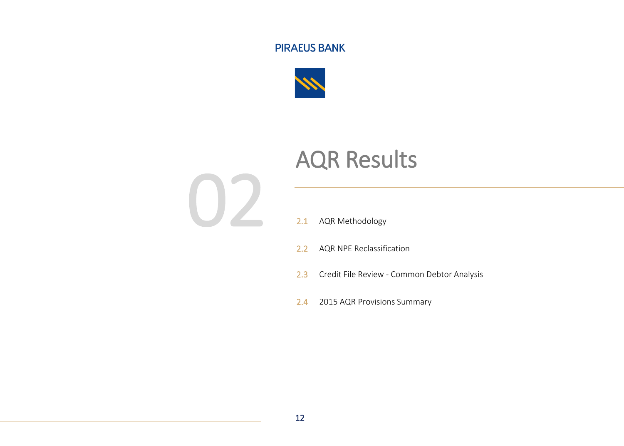

# AQR Results



### 2.1 AQR Methodology

- 2.2 AQR NPE Reclassification
- 2.3 Credit File Review Common Debtor Analysis
- 2.4 2015 AQR Provisions Summary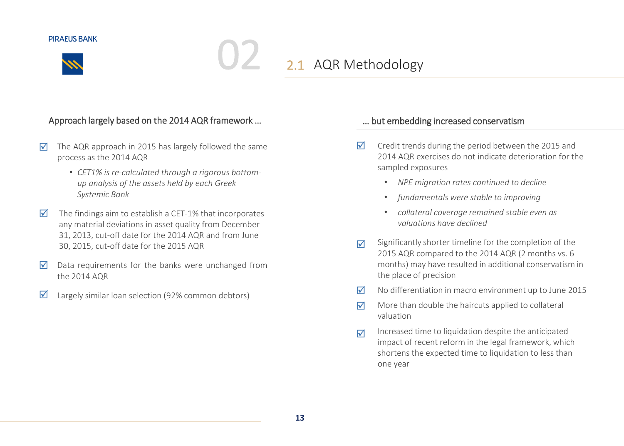

## 2.1 AQR Methodology

### Approach largely based on the 2014 AQR framework ... **Example 2014** 2014 ACR framework ...

- The AQR approach in 2015 has largely followed the same process as the 2014 AQR ☑
	- *CET1% is re-calculated through a rigorous bottomup analysis of the assets held by each Greek Systemic Bank*
- The findings aim to establish a CET-1% that incorporates any material deviations in asset quality from December 31, 2013, cut-off date for the 2014 AQR and from June 30, 2015, cut-off date for the 2015 AQR 丙
- Data requirements for the banks were unchanged from the 2014 AQR  $\overline{\mathsf{M}}$
- $\boxtimes$  Largely similar loan selection (92% common debtors)

- Credit trends during the period between the 2015 and 2014 AQR exercises do not indicate deterioration for the sampled exposures  $\overline{\mathsf{M}}$ 
	- *NPE migration rates continued to decline*
	- *fundamentals were stable to improving*
	- *collateral coverage remained stable even as valuations have declined*
- Significantly shorter timeline for the completion of the 2015 AQR compared to the 2014 AQR (2 months vs. 6 months) may have resulted in additional conservatism in the place of precision  $\triangledown$
- $\triangledown$  No differentiation in macro environment up to June 2015
- More than double the haircuts applied to collateral valuation ا⊽
- Increased time to liquidation despite the anticipated impact of recent reform in the legal framework, which shortens the expected time to liquidation to less than one year  $\triangledown$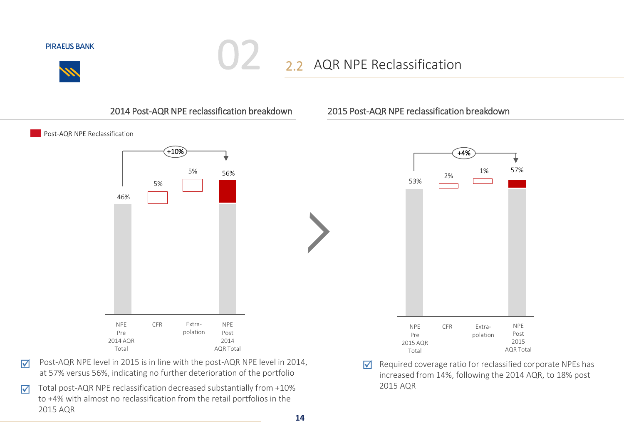

## 2.2 AQR NPE Reclassification

### 2014 Post-AQR NPE reclassification breakdown

02

Post-AQR NPE Reclassification



- Post-AQR NPE level in 2015 is in line with the post-AQR NPE level in 2014, at 57% versus 56%, indicating no further deterioration of the portfolio  $\overline{\mathsf{M}}$
- Total post-AQR NPE reclassification decreased substantially from +10% to +4% with almost no reclassification from the retail portfolios in the 2015 AQR  $\overline{\mathsf{M}}$

### 2015 Post-AQR NPE reclassification breakdown



Required coverage ratio for reclassified corporate NPEs has increased from 14%, following the 2014 AQR, to 18% post 2015 AQR  $\triangledown$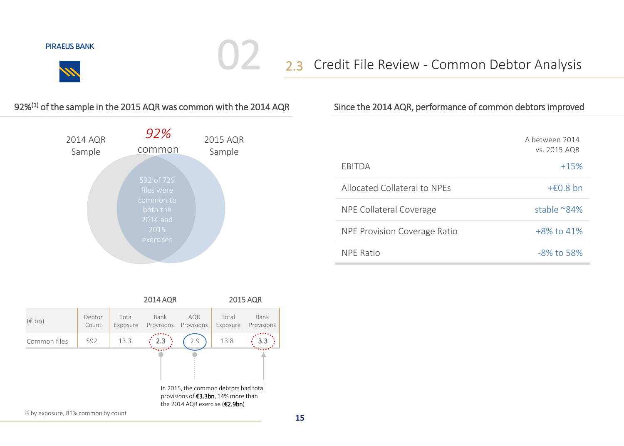

## 2.3 Credit File Review - Common Debtor Analysis

### 92%(1) of the sample in the 2015 AQR was common with the 2014 AQR

 $\bigcup$ 



### Since the 2014 AQR, performance of common debtors improved

|                                     | A hetween 2014<br>vs. 2015 AQR |
|-------------------------------------|--------------------------------|
| FBITDA                              | $+15%$                         |
| Allocated Collateral to NPEs        | $+£0.8$ bn                     |
| NPE Collateral Coverage             | stable $^{\sim}84\%$           |
| <b>NPE Provision Coverage Ratio</b> | +8% to 41%                     |
| <b>NPF Ratio</b>                    | $-8\%$ to 58%                  |



(1) by exposure, 81% common by count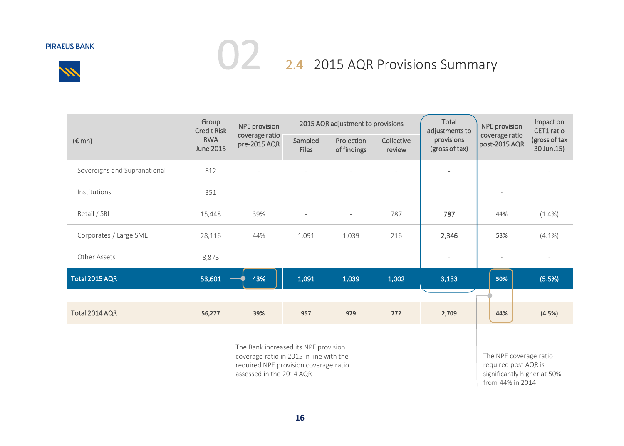

# **02** 2.4 2015 AQR Provisions Summary

|                              | Group<br><b>Credit Risk</b><br><b>RWA</b><br><b>June 2015</b> | <b>NPE</b> provision                                                                                                                                 | 2015 AQR adjustment to provisions |                           |                      | Total<br>adjustments to                                                                           | <b>NPE</b> provision            | Impact on<br>CET1 ratio     |
|------------------------------|---------------------------------------------------------------|------------------------------------------------------------------------------------------------------------------------------------------------------|-----------------------------------|---------------------------|----------------------|---------------------------------------------------------------------------------------------------|---------------------------------|-----------------------------|
| $(\epsilon$ mn)              |                                                               | coverage ratio<br>pre-2015 AQR                                                                                                                       | Sampled<br><b>Files</b>           | Projection<br>of findings | Collective<br>review | provisions<br>(gross of tax)                                                                      | coverage ratio<br>post-2015 AQR | (gross of tax<br>30 Jun.15) |
| Sovereigns and Supranational | 812                                                           |                                                                                                                                                      |                                   |                           |                      | $\overline{\phantom{a}}$                                                                          |                                 |                             |
| Institutions                 | 351                                                           |                                                                                                                                                      |                                   |                           |                      | $\overline{\phantom{a}}$                                                                          |                                 |                             |
| Retail / SBL                 | 15,448                                                        | 39%                                                                                                                                                  |                                   |                           | 787                  | 787                                                                                               | 44%                             | $(1.4\%)$                   |
| Corporates / Large SME       | 28,116                                                        | 44%                                                                                                                                                  | 1,091                             | 1,039                     | 216                  | 2,346                                                                                             | 53%                             | $(4.1\%)$                   |
| Other Assets                 | 8,873                                                         |                                                                                                                                                      |                                   |                           |                      |                                                                                                   |                                 |                             |
| Total 2015 AQR               | 53,601                                                        | 43%                                                                                                                                                  | 1,091                             | 1,039                     | 1,002                | 3,133                                                                                             | 50%                             | (5.5%)                      |
|                              |                                                               |                                                                                                                                                      |                                   |                           |                      |                                                                                                   |                                 |                             |
| Total 2014 AQR               | 56,277                                                        | 39%                                                                                                                                                  | 957                               | 979                       | 772                  | 2,709                                                                                             | 44%                             | (4.5%)                      |
|                              |                                                               | The Bank increased its NPE provision<br>coverage ratio in 2015 in line with the<br>required NPE provision coverage ratio<br>assessed in the 2014 AQR |                                   |                           |                      | The NPE coverage ratio<br>required post AQR is<br>significantly higher at 50%<br>from 44% in 2014 |                                 |                             |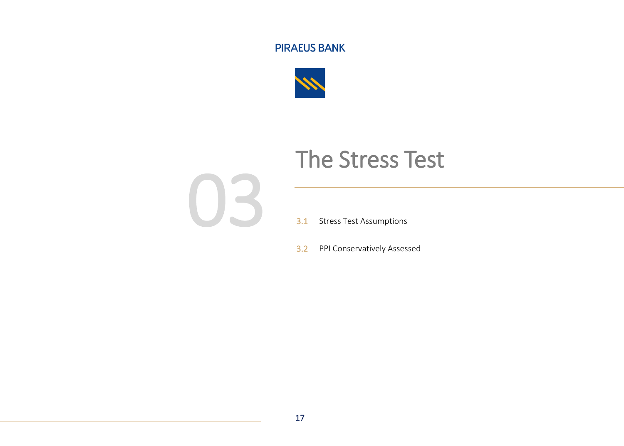

# The Stress Test



- 3.1 Stress Test Assumptions
- 3.2 PPI Conservatively Assessed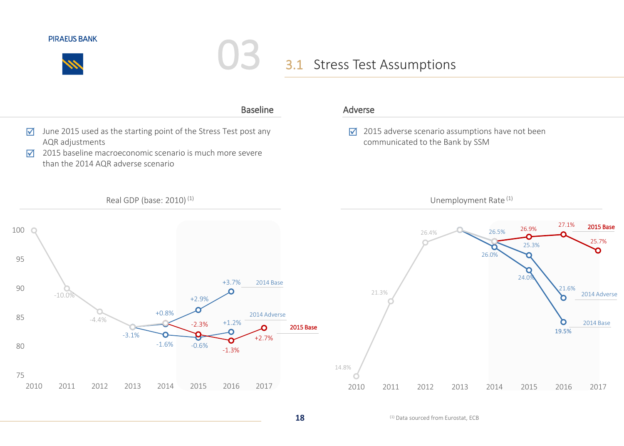

## 3.1 Stress Test Assumptions



(1) Data sourced from Eurostat, ECB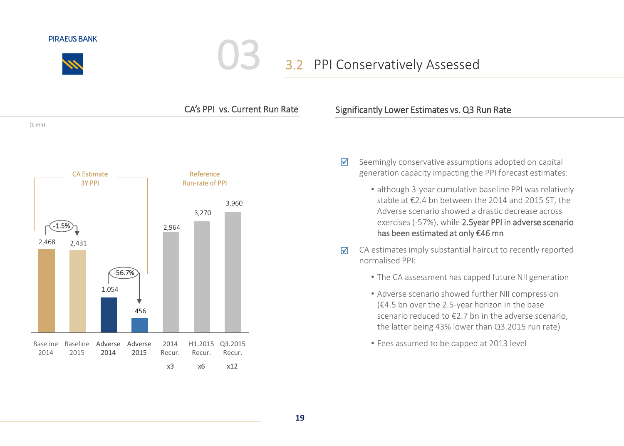

## 3.2 PPI Conservatively Assessed



### Significantly Lower Estimates vs. Q3 Run Rate

- Seemingly conservative assumptions adopted on capital generation capacity impacting the PPI forecast estimates: ⊠
	- although 3-year cumulative baseline PPI was relatively stable at €2.4 bn between the 2014 and 2015 ST, the Adverse scenario showed a drastic decrease across exercises (-57%), while 2.5year PPI in adverse scenario has been estimated at only €46 mn
- CA estimates imply substantial haircut to recently reported normalised PPI:  $\triangledown$ 
	- The CA assessment has capped future NII generation
	- Adverse scenario showed further NII compression (€4.5 bn over the 2.5-year horizon in the base scenario reduced to €2.7 bn in the adverse scenario, the latter being 43% lower than Q3.2015 run rate)
	- Fees assumed to be capped at 2013 level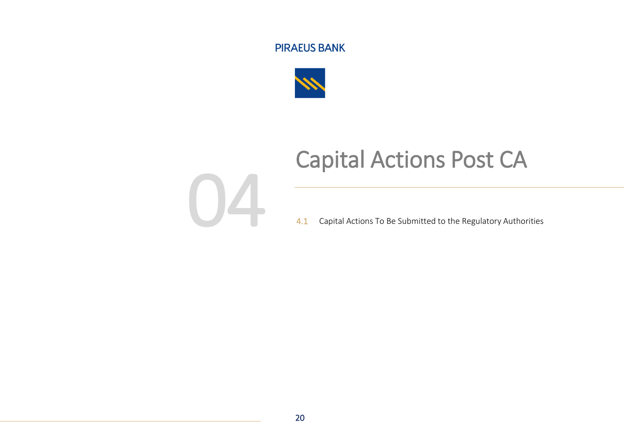

# Capital Actions Post CA



4.1 Capital Actions To Be Submitted to the Regulatory Authorities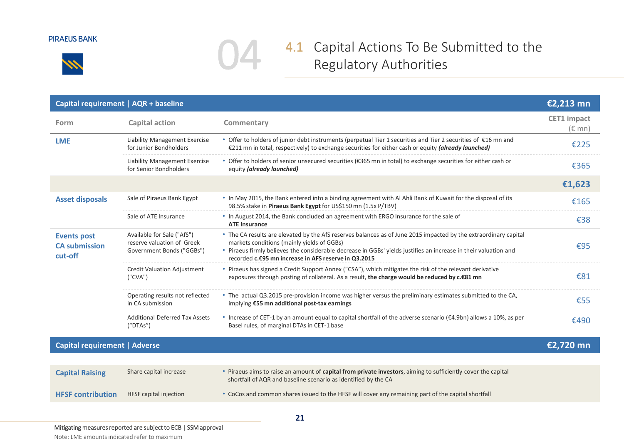



## 4.1 Capital Actions To Be Submitted to the Regulatory Authorities

| Capital requirement   AQR + baseline                  |                                                                                       |                                                                                                                                                                                                                                                                                                                                            | €2,213 mn                             |
|-------------------------------------------------------|---------------------------------------------------------------------------------------|--------------------------------------------------------------------------------------------------------------------------------------------------------------------------------------------------------------------------------------------------------------------------------------------------------------------------------------------|---------------------------------------|
| Form                                                  | Capital action                                                                        | Commentary                                                                                                                                                                                                                                                                                                                                 | <b>CET1</b> impact<br>$(\epsilon$ mn) |
| <b>LME</b>                                            | <b>Liability Management Exercise</b><br>for Junior Bondholders                        | • Offer to holders of junior debt instruments (perpetual Tier 1 securities and Tier 2 securities of €16 mn and<br>€211 mn in total, respectively) to exchange securities for either cash or equity (already launched)                                                                                                                      | €225                                  |
|                                                       | Liability Management Exercise<br>for Senior Bondholders                               | • Offer to holders of senior unsecured securities (€365 mn in total) to exchange securities for either cash or<br>equity (already launched)                                                                                                                                                                                                | €365                                  |
|                                                       |                                                                                       |                                                                                                                                                                                                                                                                                                                                            | €1,623                                |
| <b>Asset disposals</b>                                | Sale of Piraeus Bank Egypt                                                            | • In May 2015, the Bank entered into a binding agreement with Al Ahli Bank of Kuwait for the disposal of its<br>98.5% stake in Piraeus Bank Egypt for US\$150 mn (1.5x P/TBV)                                                                                                                                                              | €165                                  |
|                                                       | Sale of ATE Insurance                                                                 | . In August 2014, the Bank concluded an agreement with ERGO Insurance for the sale of<br><b>ATE Insurance</b>                                                                                                                                                                                                                              | €38                                   |
| <b>Events post</b><br><b>CA submission</b><br>cut-off | Available for Sale ("AfS")<br>reserve valuation of Greek<br>Government Bonds ("GGBs") | * The CA results are elevated by the AfS reserves balances as of June 2015 impacted by the extraordinary capital<br>markets conditions (mainly yields of GGBs)<br>• Piraeus firmly believes the considerable decrease in GGBs' yields justifies an increase in their valuation and<br>recorded c.€95 mn increase in AFS reserve in Q3.2015 | €95                                   |
|                                                       | Credit Valuation Adjustment<br>(''CVA'')                                              | • Piraeus has signed a Credit Support Annex ("CSA"), which mitigates the risk of the relevant derivative<br>exposures through posting of collateral. As a result, the charge would be reduced by c.€81 mn                                                                                                                                  | €81                                   |
|                                                       | Operating results not reflected<br>in CA submission                                   | • The actual Q3.2015 pre-provision income was higher versus the preliminary estimates submitted to the CA,<br>implying €55 mn additional post-tax earnings                                                                                                                                                                                 | €55                                   |
|                                                       | <b>Additional Deferred Tax Assets</b><br>('DTAs'')                                    | • Increase of CET-1 by an amount equal to capital shortfall of the adverse scenario ( $\epsilon$ 4.9bn) allows a 10%, as per<br>Basel rules, of marginal DTAs in CET-1 base                                                                                                                                                                | €490                                  |
| <b>Capital requirement   Adverse</b>                  |                                                                                       |                                                                                                                                                                                                                                                                                                                                            | €2,720 mn                             |
|                                                       |                                                                                       |                                                                                                                                                                                                                                                                                                                                            |                                       |
| <b>Capital Raising</b>                                | Share capital increase                                                                | • Piraeus aims to raise an amount of capital from private investors, aiming to sufficiently cover the capital<br>shortfall of AQR and baseline scenario as identified by the CA                                                                                                                                                            |                                       |
| <b>HFSF</b> contribution                              | HFSF capital injection                                                                | • CoCos and common shares issued to the HFSF will cover any remaining part of the capital shortfall                                                                                                                                                                                                                                        |                                       |